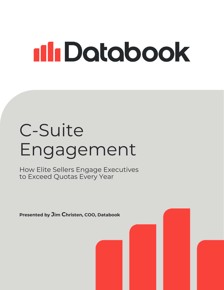# 11 Dotobook

## C-Suite Engagement

How Elite Sellers Engage Executives to Exceed Quotas Every Year

Presented by Jim Christen, COO, Databook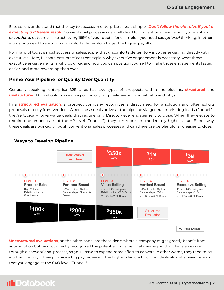Elite sellers understand that the key to success in enterprise sales is simple: *Don't follow the old rules if you're expecting a different result.* Conventional processes naturally lead to conventional results, so if you want an *exceptional* outcome—like achieving 185% of your quota, for example—you need *exceptional* thinking. In other words, you need to step into uncomfortable territory to get the bigger payoffs.

For many of today's most successful salespeople, that uncomfortable territory involves engaging directly with executives. Here, I'll share best practices that explain why executive engagement is necessary, what those executive engagements might look like, and how you can position yourself to make those engagements faster, easier, and more rewarding than ever.

### Prime Your Pipeline for Quality Over Quantity

Generally speaking, enterprise B2B sales has two types of prospects within the pipeline: **structured** and **unstructured.** Both should make up a portion of your pipeline—but in what ratio and why?

In a **structured evaluation**, a prospect company recognizes a direct need for a solution and often solicits proposals directly from vendors. When these deals arrive at the pipeline via general marketing leads (Funnel 1), they're typically lower-value deals that require only Director-level engagement to close. When they elevate to require one-on-one calls at the VP level (Funnel 2), they can represent moderately higher value. Either way, these deals are worked through conventional sales processes and can therefore be plentiful and easier to close.



Unstructured evaluations, on the other hand, are those deals where a company might greatly benefit from your solution but has not directly recognized the potential for value. That means you don't have an easy in through a conventional process, so you'll have to expend more effort to convert. In other words, they tend to be worthwhile only if they promise a big payback—and the high-dollar, unstructured deals almost always demand that you engage at the CXO level (Funnel 3).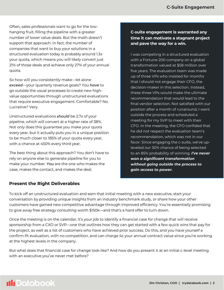Often, sales professionals want to go for the lowhanging fruit, filling the pipeline with a greater number of lower value deals. But the math doesn't support that approach. In fact, the number of companies that want to buy your solutions in a structured evaluation today is probably around 1.3x your quota, which means you will likely convert just 21% of those deals and achieve only 27% of your annual quota.

So how will you consistently make—let alone *exceed*—your quarterly revenue goals? You *have* to go outside the usual processes to create new highvalue opportunities through unstructured evaluations that require executive engagement. Comfortable? No. Lucrative? Very.

Unstructured evaluations *should* be 2.7x of your pipeline, which will convert at a higher rate of 38%. Not only does this guarantee you make your quota every year, but it actually puts you in a unique position to be much closer to 185% of your quota every year, with a chance at 450% every third year.

The best thing about this approach? You don't have to rely on anyone else to generate pipeline for you to make your number. *You* are the one who makes the case, makes the contact, and makes the deal.

## C-suite engagement is warranted any time it can motivate a stagnant project and pave the way for a win.

I was competing in a structured evaluation with a Fortune 200 company on a global transformation valued at \$58 million over five years. The evaluation team was made up of three VPs who insisted for months that I should not engage their CFO, the decision-maker in this selection. Instead, these three VPs would make the ultimate recommendation that would lead to the final vendor selection. Not satisfied with our position after a month of runaround, I went outside the process and scheduled a meeting for my SVP to meet with their CFO. In the meeting, the CFO confided that he did not respect the evaluation team's recommendation, which was not in our favor. Since engaging the c-suite, we've upleveled our 30% chance of being selected to an 85% probability of winning. *I've never won a significant transformation without going outside the process to gain access to power.*

## Present the Right Deliverables

To kick off an unstructured evaluation and earn that initial meeting with a new executive, start your conversation by providing unique insights from an industry benchmark study, or share how your other customers have gained new competitive advantage through improved efficiency. You're essentially promising to give away free strategy consulting worth \$150k—and that's a hard offer to turn down.

Once the meeting is on the calendar, it's your job to identify a financial case for change that will receive sponsorship from a CXO or SVP—one that outlines how they can get started with a few quick wins that pay for the project, as well as a list of customers who have achieved prior success. Do this, and you have yourself a confirm-fit evaluation, with no competition, and can charge 4x your annual contract value since you're working at the highest levels in the company.

But what does that financial case for change look like? And how do you present it at an initial c-level meeting with an executive you've never met before?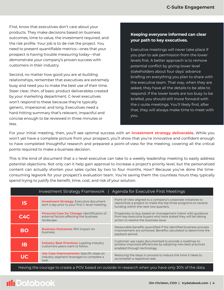First, know that executives don't care about your products. They make decisions based on business outcomes, time to value, the investment required, and the risk profile. Your job is to de-risk the project. You need to present quantifiable metrics—ones that your prospect is having trouble measuring today—that demonstrate your company's proven success with customers in their industry.

Second, no matter how good you are at building relationships, remember that executives are extremely busy and need you to make the best use of their time. Steer clear, then, of basic product deliverables created by your marketing department. C-level executives won't respond to these because they're typically generic, impersonal, and long. Executives need a hard-hitting summary that's relevant, impactful and concise enough to be reviewed in three minutes or less.

#### Keeping everyone informed can clear your path to key executives.

Executive meetings will never take place if you plan to ask permission from the lower levels first. A better approach is to remove potential conflict by giving lower level stakeholders about four days' advance briefing on everything you plan to share with the executive team. That way, when they are asked, they have all the details to be able to respond. If the lower levels are too busy to be briefed, you should still move forward with the c-suite meetings. You'll likely find, after that, they will always make time to meet with you.

For your initial meeting, then, you'll see optimal success with an *investment strategy deliverable*. While you won't yet have a complete picture from your prospect, you'll show that you're innovative and confident enough to have completed thoughtful research and prepared a point-of-view for the meeting, covering all the critical points required to make a business decision.

This is the kind of document that a c-level executive can take to a weekly leadership meeting to easily address potential objections. Not only can it help gain approval to increase a project's priority level, but the personalized content can actually shorten your sales cycles by two to four months. How? Because you've done the timeconsuming legwork for your prospect's evaluation team. You're saving them the countless hours they typically spend trying to justify the benefit, time, cost, and risk of your solution.

| <b>Agenda for Executive First Meetings</b><br>Investment Strategy Framework                         |                                                                                                              |                                                                                                                                                                            |
|-----------------------------------------------------------------------------------------------------|--------------------------------------------------------------------------------------------------------------|----------------------------------------------------------------------------------------------------------------------------------------------------------------------------|
| <b>IS</b>                                                                                           | <b>Investment Strategy:</b> Executive document<br>sent a day prior to your first C-level meeting.            | Point-of-view aligned to a company's corporate initiatives to<br>reprioritize a project to make the top three programs to receive<br>funding within the next two quarters. |
| C4C                                                                                                 | <b>Financial Case for Change: Identification of</b><br>external factors affecting the business<br>landscape. | Propensity-to-buy based on management intent with guidance<br>from key executive buyers who have stated they will be taking<br>action to resolve the business issue.       |
| <b>BO</b>                                                                                           | <b>Business Outcomes: ROI impact on</b><br>business.                                                         | Measurable benefits quantified if the identified business process<br>improvement are achieved. Benefits calculated to determine the<br>payback period.                     |
| <b>IB</b>                                                                                           | <b>Industry Best Practices:</b> Leading industry<br>customers peers want to follow.                          | Customer use cases documented to provide a roadmap to<br>achieve improved efficiencies by adopting new best practices<br>enabled through technology.                       |
| <b>UC</b>                                                                                           | Use Case Improvements: Specific steps an<br>industry segment leverages to complete a<br>task                 | Reducing the steps in process to reduce the time it takes to<br>accomplish a repetitive task.                                                                              |
| Having the courage to create a POV based on outside-in research when you have only 30% of the data. |                                                                                                              |                                                                                                                                                                            |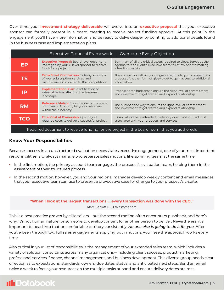Over time, your *investment strategy deliverable* will evolve into an **executive proposal** that your executive sponsor can formally present in a board meeting to receive project funding approval. At this point in the engagement, you'll have more information and be ready to delve deeper by pointing to additional details found in the business case and implementation plans

| Executive Proposal Framework   Overcome Every Objection |                                                                                                                                    |                                                                                                                                                                |  |
|---------------------------------------------------------|------------------------------------------------------------------------------------------------------------------------------------|----------------------------------------------------------------------------------------------------------------------------------------------------------------|--|
| ЕP                                                      | <b>Executive Proposal:</b> Board-level document<br>leveraged by your C-level sponsor to receive<br>funds for a project.            | Summary of all the critical assets required to close. Serves as the<br>agenda for the client's executive team to review prior to making<br>a funding decision. |  |
| <b>TS</b>                                               | <b>Term Sheet Comparison:</b> Side-by-side view<br>of your subscription, services, and<br>maintenance compared to the competition. | This comparison allows you to gain insight into your competitor's<br>proposal. Another form of give-to-get to gain access to additional<br>information.        |  |
| IP                                                      | <b>Implementation Plan: Identification of</b><br>external factors affecting the business<br>landscape.                             | Propose three horizons to ensure the right level of commitment<br>and investment to get started and expand relationship.                                       |  |
| <b>RM</b>                                               | <b>Reference Matrix:</b> Show the decision criteria<br>comparison & priority for your customers<br>within their industry.          | The number one way to ensure the right level of commitment<br>and investment to get started and expand relationship.                                           |  |
| TCO                                                     | Total Cost of Ownership: Quantify all<br>required costs to deliver a successful project.                                           | Financial estimate intended to identify direct and indirect cost<br>associated with your products and services.                                                |  |
|                                                         |                                                                                                                                    |                                                                                                                                                                |  |

Required document to receive funding for the project in the board room (that you authored).

#### Know Your Responsibilities

Because success in an unstructured evaluation necessitates executive engagement, one of your most important responsibilities is to always manage two separate sales motions, like spinning gears, at the same time:

- In the first motion, the primary account team engages the prospect's evaluation team, helping them in the assessment of their structured process.
- In the second motion, however, you and your regional manager develop weekly content and email messages that your executive team can use to present a provocative case for change to your prospect's c-suite.

#### "When I look at the largest transactions ... every transaction was done with the CEO." Marc Benioff, CEO salesforce.com

This is a best practice *proven* by elite sellers—but the second motion often encounters pushback, and here's why: It's not human nature for someone to develop content for another person to deliver. Nevertheless, it's important to head into that uncomfortable territory consistently. *No one else is going to do it for you.* After you've been through two full sales engagements applying both motions, you'll see the approach works every time.

Also critical in your list of responsibilities is the management of your extended sales team, which includes a variety of solution consultants across many organizations—including client success, product marketing, professional services, finance, channel management, and business development. This diverse group needs clear direction as to expectations, standards, owners, due dates, status, and anticipated next steps. Send an email twice a week to focus your resources on the multiple tasks at hand and ensure delivery dates are met.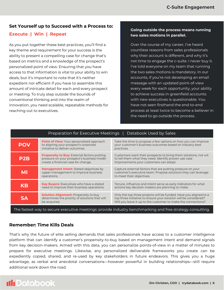#### Set Yourself up to Succeed with a Process to:

### Execute | Win | Repeat

As you put together these best practices, you'll find a key theme and requirement for your success is the ability to present a compelling case for change that's based on metrics and a knowledge of the prospect's personalized point of view. Ensuring that you have access to that information is vital to your ability to win deals, but it's important to note that it's neither expedient nor efficient if you have to assemble this amount of intricate detail for each and every prospect or meeting. To truly step outside the bounds of conventional thinking and into the realm of innovation, you need scalable, repeatable methods for reaching out to executives.

#### Going outside the process means running two sales motions in parallel.

Over the course of my career, I've heard countless reasons from sales professionals why their account is different, and why it's not time to engage the c-suite. I never buy it. I've told everyone on my team that running the two sales motions is mandatory. In our accounts, if you're not developing an email message with an updated point-of-view every week for each opportunity, your ability to achieve success in greenfield accounts with new executives is questionable. You have not seen firsthand the end-to-end process at least twice to become a believer in the need to go outside the process.

| Databook Used by Sales<br><b>Preparation for Executive Meetings</b>                                       |                                                                                                                                         |                                                                                                                                                                                                        |  |
|-----------------------------------------------------------------------------------------------------------|-----------------------------------------------------------------------------------------------------------------------------------------|--------------------------------------------------------------------------------------------------------------------------------------------------------------------------------------------------------|--|
| <b>POV</b>                                                                                                | <b>Point of View:</b> Your personalized approach<br>to aligning your prospect's corporate<br>initiative to deliver outcomes.            | Take the time to propose a few options on how you can improve<br>your customer's business outcomes based on industry best<br>practices.                                                                |  |
| P <sub>2</sub> B                                                                                          | <b>Propensity to Buy:</b> External factors putting<br>pressure on your prospect's business model<br>create a financial case for change. | Customers want their prospects to bring them solutions, not wit<br>to tell them what they need. Identify proven use case<br>improvements your customers can adopt.                                     |  |
| <b>MI</b>                                                                                                 | <b>Management Intent:</b> Stated objectives by<br>upper management to improve business<br>operations.                                   | Capture external factors that are putting pressure on your<br>customer's executive team. Propose solutions they can leverage<br>to meet their objectives.                                              |  |
| <b>KB</b>                                                                                                 | <b>Key Buyers:</b> Executives who have a stated<br>need to improve their business operations.                                           | Tenure, influence and intent serve as early indicators for what<br>actions key decision makers are planning to make.                                                                                   |  |
| <b>SA</b>                                                                                                 | <b>Solution Alignment: Propensity to buy</b><br>determines the priority of solutions that will<br>be acquired.                          | Only the top three projects will be funded. Have you aligned to a<br>top three initiative to ensure your solution will be considered?<br>Will you leave it up to the customer to make the connections? |  |
| The fastest way to secure executive meetings: provide industry benchmarking and free strategy consulting. |                                                                                                                                         |                                                                                                                                                                                                        |  |

## Remember: Time Kills Deals

That's why the future of elite selling demands that sales professionals have access to a customer intelligence platform that can identify a customer's propensity-to-buy based on management intent and demand signals from key decision-makers. Armed with this data, you can personalize points-of-view in a matter of minutes to prepare for executive meetings. Likewise, any personalized deliverable frameworks you create can be expediently copied, shared, and re-used by key stakeholders in future endeavors. This gives you a huge advantage, as verbal and anecdotal conversations—however powerful in building relationships—still require additional work down the road.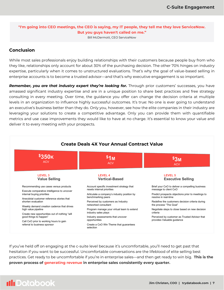### "I'm going into CEO meetings, the CEO is saying, my IT people, they tell me they love ServiceNow. But you guys haven't called on me."

Bill McDermott, CEO ServiceNow

## Conclusion

While most sales professionals enjoy building relationships with their customers because people buy from who they like, relationships only account for about 30% of the purchasing decision. The other 70% hinges on industry expertise, particularly when it comes to unstructured evaluations. That's why the goal of value-based selling in enterprise accounts is to become a trusted advisor—and that's why executive engagement is so important.

*Remember, you are that industry expert they're looking for.* Through prior customers' successes, you have amassed significant industry expertise and are in a unique position to share best practices and free strategy consulting in every meeting. Over time, the guidance you offer can change the decision criteria at multiple levels in an organization to influence highly successful outcomes. It's true: No one is ever going to understand an executive's business better than they do. Only you, however, see how the elite companies in their industry are leveraging your solutions to create a competitive advantage. Only you can provide them with quantifiable metrics and use case improvements they would like to have at no charge. It's essential to know your value and deliver it to every meeting with your prospects.



If you've held off on engaging at the c-suite level because it's uncomfortable, you'll need to get past that hesitation if you want to be successful. Uncomfortable conversations are the lifeblood of elite selling best practices. Get ready to be uncomfortable if you're in enterprise sales—and then get ready to win big. This is the proven process of generating revenue in enterprise sales consistently every quarter.